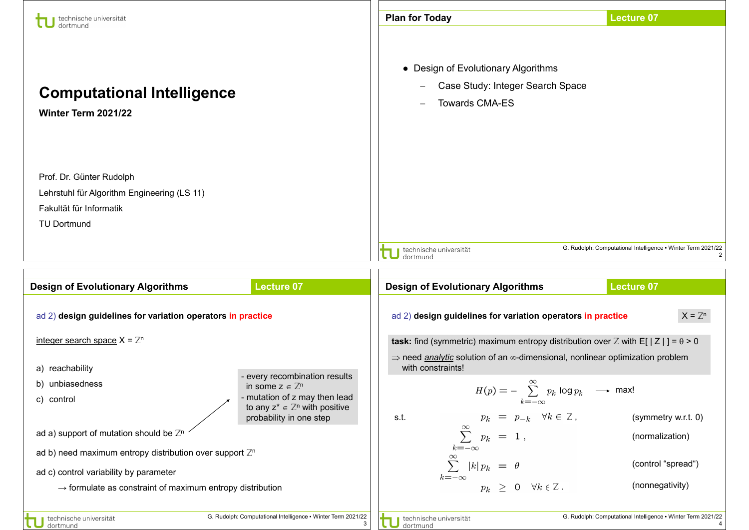| technische universität                                                                                                   |                                                                                                                                                                          | <b>Plan for Today</b>                                                                                                                                                                          | <b>Lecture 07</b>                                                                             |
|--------------------------------------------------------------------------------------------------------------------------|--------------------------------------------------------------------------------------------------------------------------------------------------------------------------|------------------------------------------------------------------------------------------------------------------------------------------------------------------------------------------------|-----------------------------------------------------------------------------------------------|
| <b>Computational Intelligence</b><br>Winter Term 2021/22                                                                 |                                                                                                                                                                          | • Design of Evolutionary Algorithms<br>Case Study: Integer Search Space<br><b>Towards CMA-ES</b>                                                                                               |                                                                                               |
| Prof. Dr. Günter Rudolph<br>Lehrstuhl für Algorithm Engineering (LS 11)<br>Fakultät für Informatik<br><b>TU Dortmund</b> |                                                                                                                                                                          | technische universität                                                                                                                                                                         | G. Rudolph: Computational Intelligence . Winter Term 2021/22                                  |
|                                                                                                                          |                                                                                                                                                                          | dortmund                                                                                                                                                                                       |                                                                                               |
| <b>Design of Evolutionary Algorithms</b>                                                                                 | <b>Lecture 07</b>                                                                                                                                                        | <b>Design of Evolutionary Algorithms</b>                                                                                                                                                       | <b>Lecture 07</b>                                                                             |
| ad 2) design guidelines for variation operators in practice                                                              |                                                                                                                                                                          | ad 2) design guidelines for variation operators in practice                                                                                                                                    | $X = Z^n$                                                                                     |
| integer search space $X = \mathbb{Z}^n$                                                                                  |                                                                                                                                                                          | task: find (symmetric) maximum entropy distribution over Z with E[ $ Z $ ] = $\theta$ > 0                                                                                                      |                                                                                               |
| a) reachability<br>b) unbiasedness<br>c) control                                                                         | - every recombination results<br>in some $z \in \mathbb{Z}^n$<br>- mutation of z may then lead<br>to any $z^* \in \mathbb{Z}^n$ with positive<br>probability in one step | $\Rightarrow$ need analytic solution of an $\infty$ -dimensional, nonlinear optimization problem<br>with constraints!<br>$k=-\infty$<br>$p_k = p_{-k} \quad \forall k \in \mathbb{Z},$<br>s.t. | $H(p) = -\sum_{k=0}^{\infty} p_k \log p_k \longrightarrow \text{max!}$<br>(symmetry w.r.t. 0) |
| ad a) support of mutation should be $\mathbb{Z}^n$                                                                       |                                                                                                                                                                          | $\sum^{\infty}_{-}~~ p_k~~ = ~~1~,$                                                                                                                                                            | (normalization)                                                                               |
| ad b) need maximum entropy distribution over support $\mathbb{Z}^n$                                                      |                                                                                                                                                                          | $k=-\infty$<br>$\sum^{\infty}$                                                                                                                                                                 | (control "spread")                                                                            |
| ad c) control variability by parameter<br>$\rightarrow$ formulate as constraint of maximum entropy distribution          |                                                                                                                                                                          | $ k p_k = \theta$<br>$k=-\infty$<br>$p_k \geq 0 \quad \forall k \in \mathbb{Z}$ .                                                                                                              | (nonnegativity)                                                                               |
| technische universität<br>dortmund                                                                                       | G. Rudolph: Computational Intelligence • Winter Term 2021/22<br>3                                                                                                        | technische universität<br>dortmund                                                                                                                                                             | G. Rudolph: Computational Intelligence . Winter Term 2021/22                                  |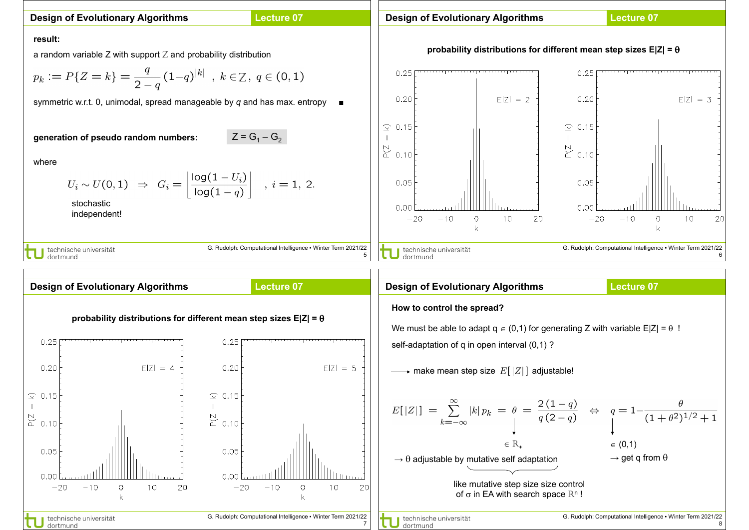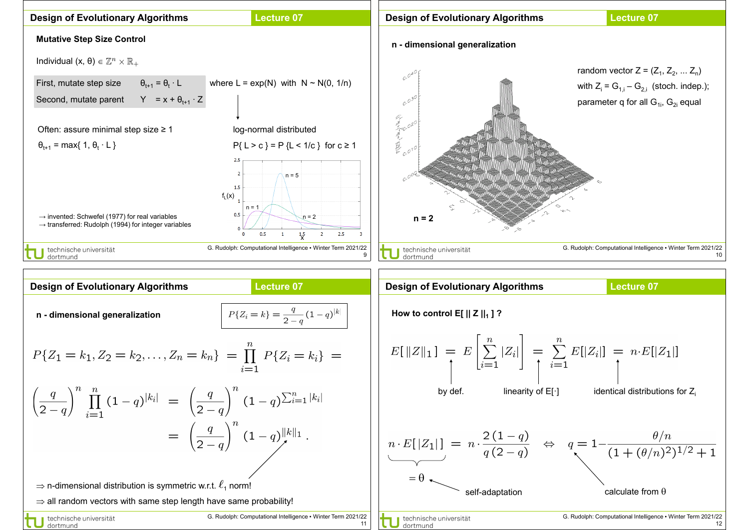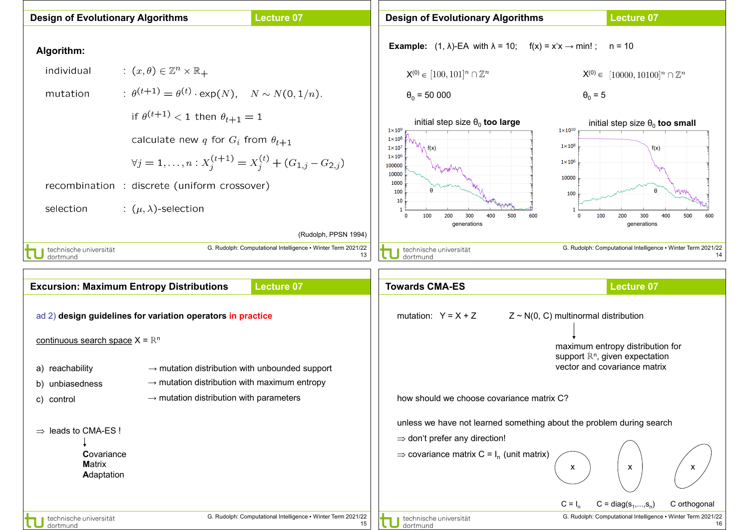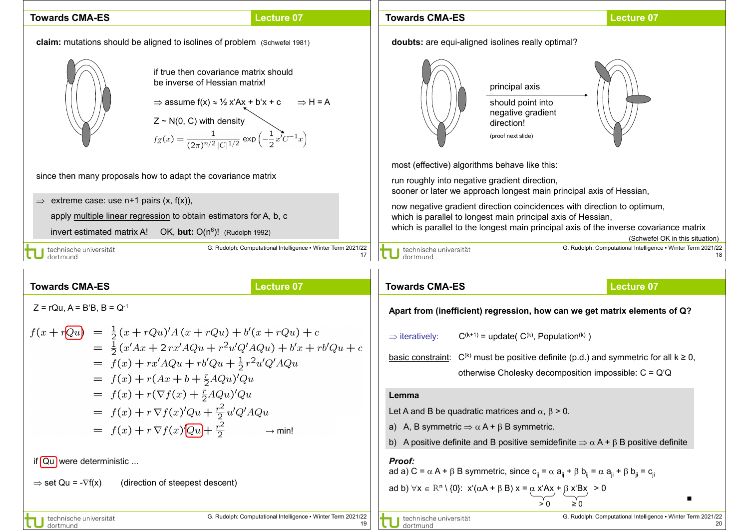## **Towards CMA-ES**

## **Lecture 07**

**claim:** mutations should be aligned to isolines of problem (Schwefel 1981)





Z ~ N(0, C) with density<br>  $f_Z(x) = \frac{1}{(2\pi)^{n/2} |C|^{1/2}} \exp\left(-\frac{1}{2}x^7C^{-1}x\right)$ 

since then many proposals how to adapt the covariance matrix

 $\Rightarrow$  extreme case: use n+1 pairs (x, f(x)),

apply multiple linear regression to obtain estimators for A, b, c

invert estimated matrix A! OK, **but:** O(n6)! (Rudolph 1992)

J technische universität<br>J dortmund

G. Rudolph: Computational Intelligence . Winter

17 G. Rudolph: Computational Intelligence ▪ Winter Term 2021/22 18 **doubts:** are equi-aligned isolines really optimal? most (effective) algorithms behave like this: run roughly into negative gradient direction, sooner or later we approach longest main principal axis of Hessian, now negative gradient direction coincidences with direction to optimum, which is parallel to longest main principal axis of Hessian, which is parallel to the longest main principal axis of the inverse covariance matrix (Schwefel OK in this situation) principal axis should point into negative gradient direction! (proof next slide)

**Lecture 07**

| Towards CMA-ES                       | Lecture 07                                                                        |                                                                                           |                                                                     |                                             |                                                         |                                                         |                                                         |                                                         |                                                           |                                                           |                                                           |                                                           |                                                           |                                                           |                                                           |                                                   |
|--------------------------------------|-----------------------------------------------------------------------------------|-------------------------------------------------------------------------------------------|---------------------------------------------------------------------|---------------------------------------------|---------------------------------------------------------|---------------------------------------------------------|---------------------------------------------------------|---------------------------------------------------------|-----------------------------------------------------------|-----------------------------------------------------------|-----------------------------------------------------------|-----------------------------------------------------------|-----------------------------------------------------------|-----------------------------------------------------------|-----------------------------------------------------------|---------------------------------------------------|
| \n $Z = rQu, A = B'B, B = Q^{-1}$ \n | \n $f(x + r\overline{Qu}) = \frac{1}{2}(x + rQu)'A(x + rQu) + b'(x + rQu) + c$ \n | \n $= \frac{1}{2}(x'Ax + 2rx'AQu + r^2u'Q'AQu) + b'x + r b'Qu + \frac{1}{2}r^2u'Q'AQu$ \n | \n $= f(x) + r(xAu + r^2A(u + r^2u')Qu + \frac{1}{2}r^2u'Q'AQu)$ \n | \n $= f(x) + r(Tx) + \frac{r}{2}AQu)'Qu$ \n | \n $= f(x) + r\overline{Q}f(x) + \frac{r}{2}AQu)'Qu$ \n | \n $= f(x) + r\overline{Q}f(x) + \frac{r}{2}AQu)'Qu$ \n | \n $= f(x) + r\overline{Q}f(x) + \frac{r}{2}d'Q'AQu$ \n | \n $= f(x) + r\overline{Q}f(x) + \frac{r}{2}d'Q'AQu$ \n | \n $= f(x) + r\overline{Q}f(x) + \frac{r^2}{2}d'Q'AQu$ \n | \n $= f(x) + r\overline{Q}f(x) + \frac{r^2}{2}d'Q'AQu$ \n | \n $= f(x) + r\overline{Q}f(x) + \frac{r^2}{2}d'Q'AQu$ \n | \n $= f(x) + r\overline{Q}f(x) + \frac{r^2}{2}d'Q'AQu$ \n | \n $= f(x) + r\overline{Q}f(x) + \frac{r^2}{2}d'Q'AQu$ \n | \n $= f(x) + r\overline{Q}f(x) + \frac{r^2}{2}d'Q'AQu$ \n | \n $= f(x) + r\overline{Q}f(x) + \frac{r^2}{2}d'Q'AQu$ \n | \n $= f(x) + r\overline{Q}f(x) + \frac{r^2}{2}d'$ |

**Towards CMA-ES**